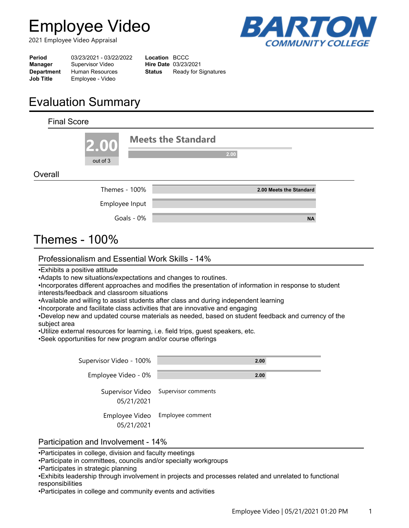# **Employee Video**

2021 Employee Video Appraisal



| Period            | 03/23/2021 - 03/22/2022 | Location BCCC |                             |
|-------------------|-------------------------|---------------|-----------------------------|
| Manager           | Supervisor Video        |               | <b>Hire Date 03/23/2021</b> |
| <b>Department</b> | <b>Human Resources</b>  | Status        | Ready for Signatures        |
| <b>Job Title</b>  | Employee - Video        |               |                             |

# **Evaluation Summary**

| <b>Final Score</b> |                         |            |                                   |
|--------------------|-------------------------|------------|-----------------------------------|
|                    | 2.00<br>out of 3        |            | <b>Meets the Standard</b><br>2.00 |
| Overall            |                         |            |                                   |
|                    | Themes - 100%           |            | 2.00 Meets the Standard           |
|                    | Employee Input          |            |                                   |
|                    |                         | Goals - 0% | <b>NA</b>                         |
| Thomac             | 1 $\cap$ <sup>0</sup> / |            |                                   |

# Themes - 100%

#### Professionalism and Essential Work Skills - 14%

•Exhibits a positive attitude

•Adapts to new situations/expectations and changes to routines.

•Incorporates different approaches and modifies the presentation of information in response to student interests/feedback and classroom situations

•Available and willing to assist students after class and during independent learning

•Incorporate and facilitate class activities that are innovative and engaging

•Develop new and updated course materials as needed, based on student feedback and currency of the subject area

•Utilize external resources for learning, i.e. field trips, guest speakers, etc.

•Seek opportunities for new program and/or course offerings

| Supervisor Video - 100%      | 2.00                                 |
|------------------------------|--------------------------------------|
| Employee Video - 0%          | 2.00                                 |
| 05/21/2021                   | Supervisor Video Supervisor comments |
| Employee Video<br>05/21/2021 | Employee comment                     |

#### Participation and Involvement - 14%

•Participates in college, division and faculty meetings

•Participate in committees, councils and/or specialty workgroups

- •Participates in strategic planning
- •Exhibits leadership through involvement in projects and processes related and unrelated to functional responsibilities

•Participates in college and community events and activities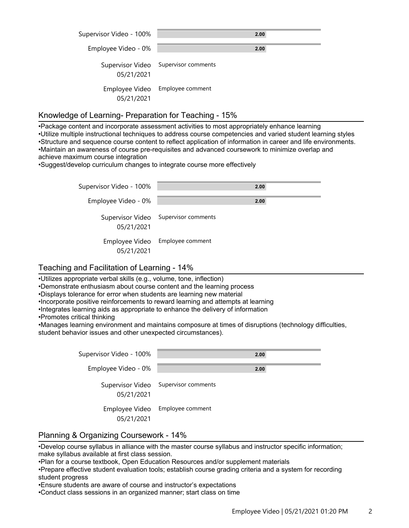| Supervisor Video - 100%        | 2.00                |
|--------------------------------|---------------------|
| Employee Video - 0%            | 2.00                |
| Supervisor Video<br>05/21/2021 | Supervisor comments |
| Employee Video<br>05/21/2021   | Employee comment    |

#### Knowledge of Learning- Preparation for Teaching - 15%

•Package content and incorporate assessment activities to most appropriately enhance learning •Utilize multiple instructional techniques to address course competencies and varied student learning styles •Structure and sequence course content to reflect application of information in career and life environments. •Maintain an awareness of course pre-requisites and advanced coursework to minimize overlap and achieve maximum course integration

•Suggest/develop curriculum changes to integrate course more effectively

| Supervisor Video - 100%      | 2.00                                 |
|------------------------------|--------------------------------------|
| Employee Video - 0%          | 2.00                                 |
| 05/21/2021                   | Supervisor Video Supervisor comments |
| Employee Video<br>05/21/2021 | Employee comment                     |

#### Teaching and Facilitation of Learning - 14%

•Utilizes appropriate verbal skills (e.g., volume, tone, inflection)

•Demonstrate enthusiasm about course content and the learning process

•Displays tolerance for error when students are learning new material

•Incorporate positive reinforcements to reward learning and attempts at learning

•Integrates learning aids as appropriate to enhance the delivery of information

•Promotes critical thinking

•Manages learning environment and maintains composure at times of disruptions (technology difficulties, student behavior issues and other unexpected circumstances).

| Supervisor Video - 100% | 2.00                                 |
|-------------------------|--------------------------------------|
| Employee Video - 0%     | 2.00                                 |
| 05/21/2021              | Supervisor Video Supervisor comments |
| 05/21/2021              | Employee Video Employee comment      |

#### Planning & Organizing Coursework - 14%

•Develop course syllabus in alliance with the master course syllabus and instructor specific information; make syllabus available at first class session.

•Plan for a course textbook, Open Education Resources and/or supplement materials

•Prepare effective student evaluation tools; establish course grading criteria and a system for recording student progress

•Ensure students are aware of course and instructor's expectations

•Conduct class sessions in an organized manner; start class on time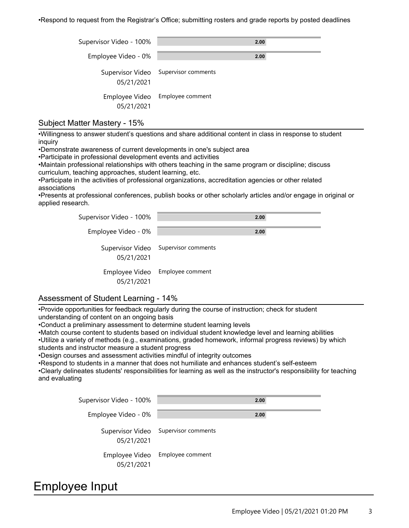•Respond to request from the Registrar's Office; submitting rosters and grade reports by posted deadlines

| Supervisor Video - 100%      | 2.00                                 |
|------------------------------|--------------------------------------|
| Employee Video - 0%          | 2.00                                 |
| 05/21/2021                   | Supervisor Video Supervisor comments |
| Employee Video<br>05/21/2021 | Employee comment                     |

#### Subject Matter Mastery - 15%

•Willingness to answer student's questions and share additional content in class in response to student inquiry

•Demonstrate awareness of current developments in one's subject area

•Participate in professional development events and activities

•Maintain professional relationships with others teaching in the same program or discipline; discuss curriculum, teaching approaches, student learning, etc.

•Participate in the activities of professional organizations, accreditation agencies or other related associations

•Presents at professional conferences, publish books or other scholarly articles and/or engage in original or applied research.

| Supervisor Video - 100%      | 2.00                                 |
|------------------------------|--------------------------------------|
| Employee Video - 0%          | 2.00                                 |
| 05/21/2021                   | Supervisor Video Supervisor comments |
| Employee Video<br>05/21/2021 | Employee comment                     |

#### Assessment of Student Learning - 14%

•Provide opportunities for feedback regularly during the course of instruction; check for student understanding of content on an ongoing basis

•Conduct a preliminary assessment to determine student learning levels

•Match course content to students based on individual student knowledge level and learning abilities

•Utilize a variety of methods (e.g., examinations, graded homework, informal progress reviews) by which students and instructor measure a student progress

•Design courses and assessment activities mindful of integrity outcomes

•Respond to students in a manner that does not humiliate and enhances student's self-esteem

•Clearly delineates students' responsibilities for learning as well as the instructor's responsibility for teaching and evaluating

| Supervisor Video - 100%      | 2.00                                 |
|------------------------------|--------------------------------------|
| Employee Video - 0%          | 2.00                                 |
| 05/21/2021                   | Supervisor Video Supervisor comments |
| Employee Video<br>05/21/2021 | Employee comment                     |

### Employee Input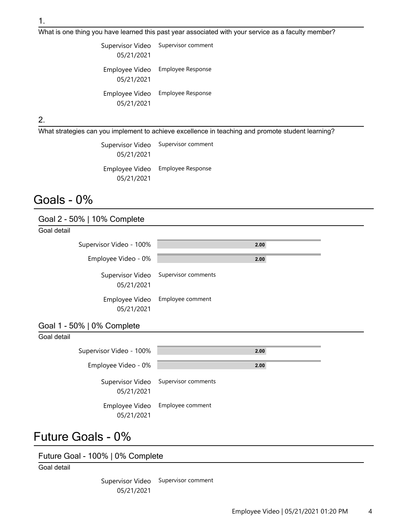What is one thing you have learned this past year associated with your service as a faculty member?

| Supervisor Video             | Supervisor comment       |
|------------------------------|--------------------------|
| 05/21/2021                   |                          |
| Employee Video<br>05/21/2021 | <b>Employee Response</b> |
| Employee Video<br>05/21/2021 | <b>Employee Response</b> |

2.

What strategies can you implement to achieve excellence in teaching and promote student learning?

| Supervisor Video<br>05/21/2021 | Supervisor comment       |
|--------------------------------|--------------------------|
| Employee Video<br>05/21/2021   | <b>Employee Response</b> |

### Goals - 0%

Goal 2 - 50% | 10% Complete

| Goal detail             |                                      |
|-------------------------|--------------------------------------|
| Supervisor Video - 100% | 2.00                                 |
| Employee Video - 0%     | 2.00                                 |
| 05/21/2021              | Supervisor Video Supervisor comments |
| 05/21/2021              | Employee Video Employee comment      |

#### Goal 1 - 50% | 0% Complete

| Goal detail |                              |                                      |
|-------------|------------------------------|--------------------------------------|
|             | Supervisor Video - 100%      | 2.00                                 |
|             | Employee Video - 0%          | 2.00                                 |
|             | 05/21/2021                   | Supervisor Video Supervisor comments |
|             | Employee Video<br>05/21/2021 | Employee comment                     |

## Future Goals - 0%

Future Goal - 100% | 0% Complete

Goal detail

Supervisor Video Supervisor comment 05/21/2021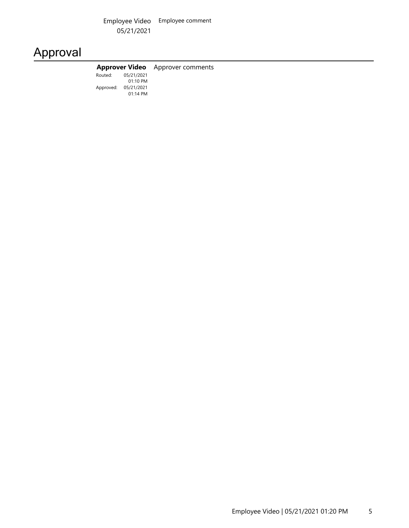Employee Video Employee comment 05/21/2021

# Approval

|                      | <b>Approver Video</b> Approver comments |
|----------------------|-----------------------------------------|
| Routed: 05/21/2021   |                                         |
| $01:10$ PM           |                                         |
| Approved: 05/21/2021 |                                         |
| $01:14$ PM           |                                         |